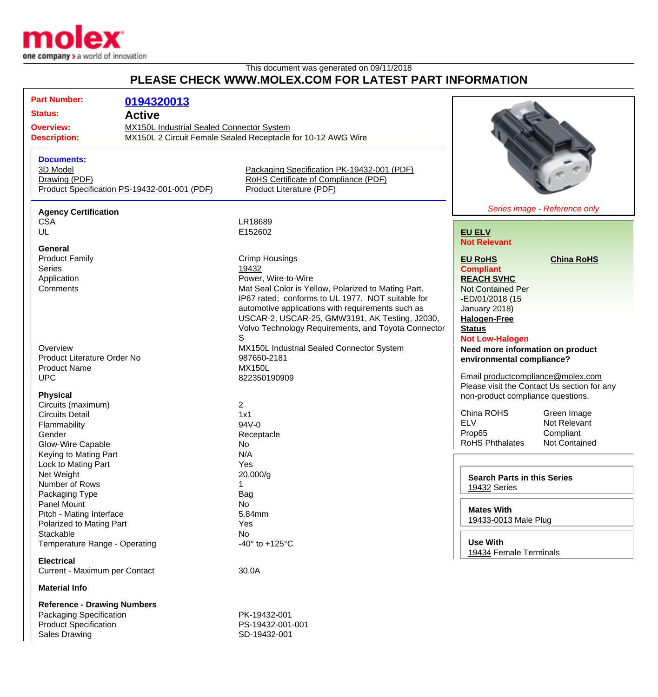

## This document was generated on 09/11/2018 **PLEASE CHECK WWW.MOLEX.COM FOR LATEST PART INFORMATION**

| <b>Part Number:</b>                |                                                              |                                                     |                                             |                               |
|------------------------------------|--------------------------------------------------------------|-----------------------------------------------------|---------------------------------------------|-------------------------------|
|                                    | 0194320013                                                   |                                                     |                                             |                               |
| <b>Status:</b><br><b>Active</b>    |                                                              |                                                     |                                             |                               |
| <b>Overview:</b>                   | <b>MX150L Industrial Sealed Connector System</b>             |                                                     |                                             |                               |
| <b>Description:</b>                | MX150L 2 Circuit Female Sealed Receptacle for 10-12 AWG Wire |                                                     |                                             |                               |
|                                    |                                                              |                                                     |                                             |                               |
| <b>Documents:</b>                  |                                                              |                                                     |                                             |                               |
| 3D Model                           |                                                              | Packaging Specification PK-19432-001 (PDF)          |                                             |                               |
| Drawing (PDF)                      |                                                              | RoHS Certificate of Compliance (PDF)                |                                             |                               |
|                                    | Product Specification PS-19432-001-001 (PDF)                 | Product Literature (PDF)                            |                                             |                               |
|                                    |                                                              |                                                     |                                             |                               |
| <b>Agency Certification</b>        |                                                              |                                                     |                                             | Series image - Reference only |
| <b>CSA</b>                         |                                                              | LR18689                                             |                                             |                               |
| UL                                 |                                                              | E152602                                             | <b>EU ELV</b>                               |                               |
|                                    |                                                              |                                                     | <b>Not Relevant</b>                         |                               |
| General                            |                                                              |                                                     |                                             |                               |
| <b>Product Family</b>              |                                                              | <b>Crimp Housings</b>                               | <b>EU RoHS</b>                              | <b>China RoHS</b>             |
| <b>Series</b>                      |                                                              | 19432                                               | <b>Compliant</b>                            |                               |
| Application                        |                                                              | Power, Wire-to-Wire                                 | <b>REACH SVHC</b>                           |                               |
| Comments                           |                                                              | Mat Seal Color is Yellow, Polarized to Mating Part. | <b>Not Contained Per</b>                    |                               |
|                                    |                                                              | IP67 rated; conforms to UL 1977. NOT suitable for   | -ED/01/2018 (15                             |                               |
|                                    |                                                              | automotive applications with requirements such as   | January 2018)                               |                               |
|                                    |                                                              | USCAR-2, USCAR-25, GMW3191, AK Testing, J2030,      | <b>Halogen-Free</b><br><b>Status</b>        |                               |
|                                    |                                                              | Volvo Technology Requirements, and Toyota Connector |                                             |                               |
|                                    |                                                              | S                                                   | <b>Not Low-Halogen</b>                      |                               |
| Overview                           |                                                              | MX150L Industrial Sealed Connector System           | Need more information on product            |                               |
| <b>Product Literature Order No</b> |                                                              | 987650-2181                                         | environmental compliance?                   |                               |
| <b>Product Name</b>                |                                                              | <b>MX150L</b>                                       |                                             |                               |
| <b>UPC</b>                         |                                                              | 822350190909                                        | Email productcompliance@molex.com           |                               |
|                                    |                                                              |                                                     | Please visit the Contact Us section for any |                               |
| <b>Physical</b>                    |                                                              |                                                     | non-product compliance questions.           |                               |
| Circuits (maximum)                 |                                                              | $\overline{2}$                                      |                                             |                               |
| <b>Circuits Detail</b>             |                                                              | 1x1                                                 | China ROHS                                  | Green Image                   |
| Flammability                       |                                                              | 94V-0                                               | <b>ELV</b>                                  | Not Relevant                  |
| Gender                             |                                                              | Receptacle                                          | Prop65                                      | Compliant                     |
| Glow-Wire Capable                  |                                                              | No                                                  | <b>RoHS Phthalates</b>                      | <b>Not Contained</b>          |
| Keying to Mating Part              |                                                              | N/A                                                 |                                             |                               |
| Lock to Mating Part                |                                                              | Yes                                                 |                                             |                               |
| Net Weight                         |                                                              | 20.000/g                                            |                                             |                               |
| Number of Rows                     |                                                              |                                                     | <b>Search Parts in this Series</b>          |                               |
| Packaging Type                     |                                                              | Bag                                                 | 19432 Series                                |                               |
| <b>Panel Mount</b>                 |                                                              | No                                                  |                                             |                               |
| Pitch - Mating Interface           |                                                              | 5.84mm                                              | <b>Mates With</b>                           |                               |
| Polarized to Mating Part           |                                                              | Yes                                                 | 19433-0013 Male Plug                        |                               |
| Stackable                          |                                                              | No                                                  |                                             |                               |
|                                    |                                                              | -40 $\degree$ to +125 $\degree$ C                   | <b>Use With</b>                             |                               |
| Temperature Range - Operating      |                                                              |                                                     | 19434 Female Terminals                      |                               |
| <b>Electrical</b>                  |                                                              |                                                     |                                             |                               |
| Current - Maximum per Contact      |                                                              | 30.0A                                               |                                             |                               |
|                                    |                                                              |                                                     |                                             |                               |
| <b>Material Info</b>               |                                                              |                                                     |                                             |                               |
| <b>Reference - Drawing Numbers</b> |                                                              |                                                     |                                             |                               |
| Packaging Specification            |                                                              | PK-19432-001                                        |                                             |                               |

Product Specification **PS-19432-001-001** Sales Drawing **SD-19432-001**